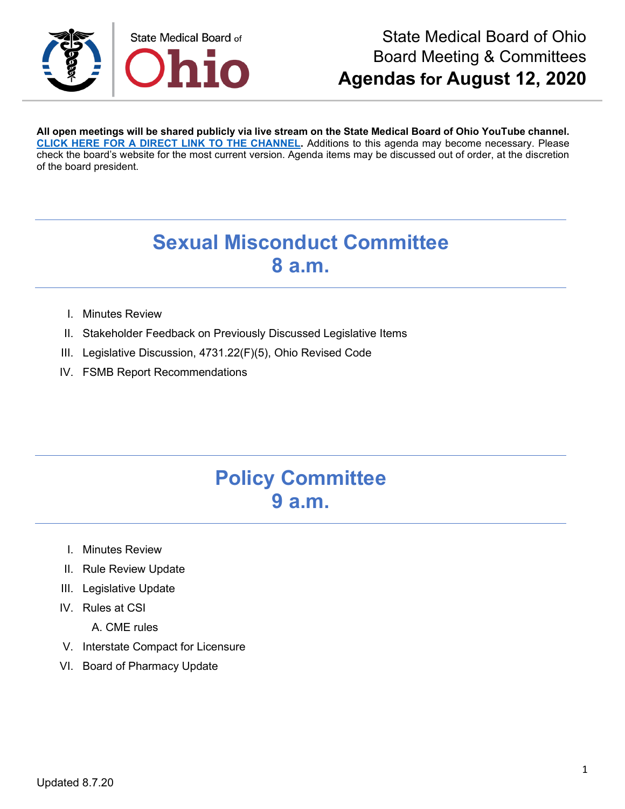

**All open meetings will be shared publicly via live stream on the State Medical Board of Ohio YouTube channel. [CLICK HERE FOR A DIRECT LINK TO THE CHANNEL.](https://www.youtube.com/channel/UCWBHBfwOyUtBZmBEZvtYPvA)** Additions to this agenda may become necessary. Please check the board's website for the most current version. Agenda items may be discussed out of order, at the discretion of the board president.

# **Sexual Misconduct Committee 8 a.m.**

- I. Minutes Review
- II. Stakeholder Feedback on Previously Discussed Legislative Items
- III. Legislative Discussion, 4731.22(F)(5), Ohio Revised Code
- IV. FSMB Report Recommendations

### **Policy Committee 9 a.m.**

- I. Minutes Review
- II. Rule Review Update
- III. Legislative Update
- IV. Rules at CSI
	- A. CME rules
- V. Interstate Compact for Licensure
- VI. Board of Pharmacy Update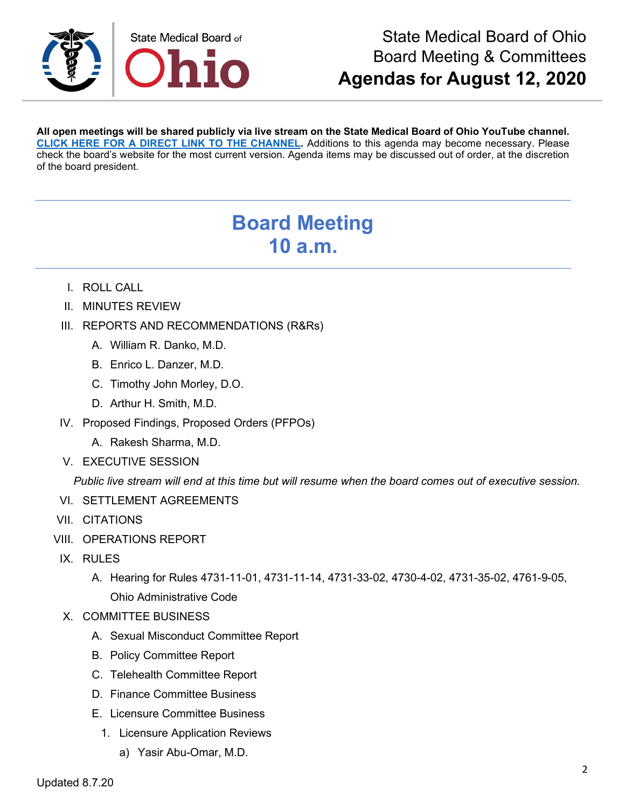

**All open meetings will be shared publicly via live stream on the State Medical Board of Ohio YouTube channel. [CLICK HERE FOR A DIRECT LINK TO THE CHANNEL.](https://www.youtube.com/channel/UCWBHBfwOyUtBZmBEZvtYPvA)** Additions to this agenda may become necessary. Please check the board's website for the most current version. Agenda items may be discussed out of order, at the discretion of the board president.

# **Board Meeting 10 a.m.**

- I. ROLL CALL
- II. MINUTES REVIEW
- III. REPORTS AND RECOMMENDATIONS (R&Rs)
	- A. William R. Danko, M.D.
	- B. Enrico L. Danzer, M.D.
	- C. Timothy John Morley, D.O.
	- D. Arthur H. Smith, M.D.
- IV. Proposed Findings, Proposed Orders (PFPOs)
	- A. Rakesh Sharma, M.D.
- V. EXECUTIVE SESSION

*Public live stream will end at this time but will resume when the board comes out of executive session.* 

- VI. SETTLEMENT AGREEMENTS
- VII. CITATIONS
- VIII. OPERATIONS REPORT
- IX. RULES
	- A. Hearing for Rules 4731-11-01, 4731-11-14, 4731-33-02, 4730-4-02, 4731-35-02, 4761-9-05, Ohio Administrative Code
- X. COMMITTEE BUSINESS
	- A. Sexual Misconduct Committee Report
	- B. Policy Committee Report
	- C. Telehealth Committee Report
	- D. Finance Committee Business
	- E. Licensure Committee Business
		- 1. Licensure Application Reviews
			- a) Yasir Abu-Omar, M.D.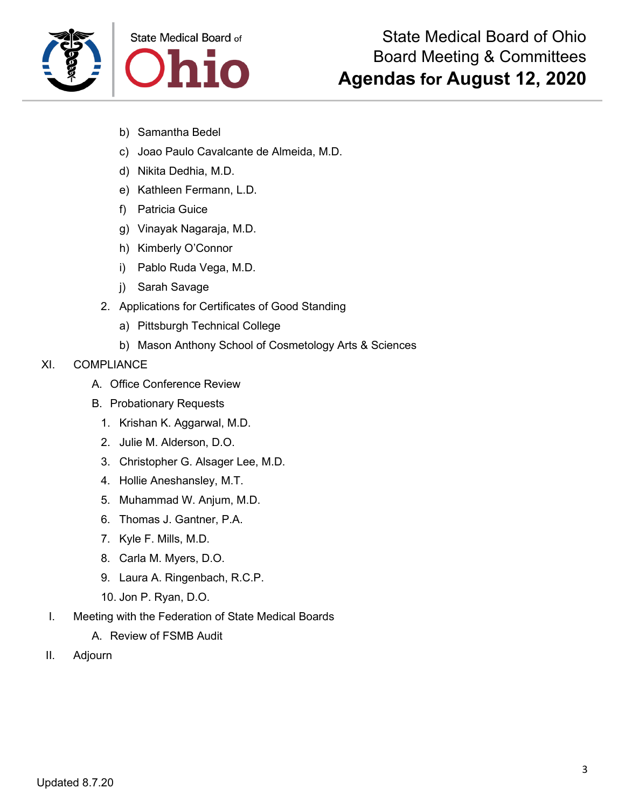

- b) Samantha Bedel
- c) Joao Paulo Cavalcante de Almeida, M.D.
- d) Nikita Dedhia, M.D.
- e) Kathleen Fermann, L.D.
- f) Patricia Guice
- g) Vinayak Nagaraja, M.D.
- h) Kimberly O'Connor
- i) Pablo Ruda Vega, M.D.
- j) Sarah Savage
- 2. Applications for Certificates of Good Standing
	- a) Pittsburgh Technical College
	- b) Mason Anthony School of Cosmetology Arts & Sciences

#### XI. COMPLIANCE

- A. Office Conference Review
- B. Probationary Requests
	- 1. Krishan K. Aggarwal, M.D.
	- 2. Julie M. Alderson, D.O.
	- 3. Christopher G. Alsager Lee, M.D.
	- 4. Hollie Aneshansley, M.T.
	- 5. Muhammad W. Anjum, M.D.
	- 6. Thomas J. Gantner, P.A.
	- 7. Kyle F. Mills, M.D.
	- 8. Carla M. Myers, D.O.
	- 9. Laura A. Ringenbach, R.C.P.
	- 10. Jon P. Ryan, D.O.
- I. Meeting with the Federation of State Medical Boards
	- A. Review of FSMB Audit
- II. Adjourn